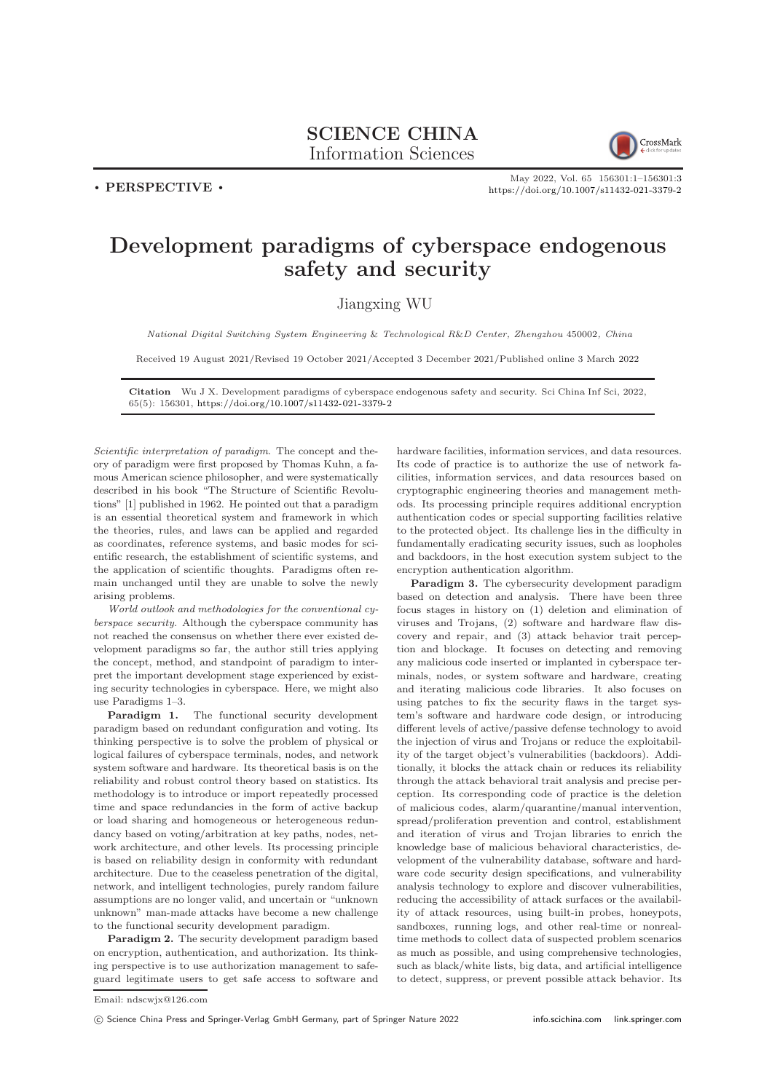## SCIENCE CHINA Information Sciences



. PERSPECTIVE .

May 2022, Vol. 65 156301:1–156301[:3](#page-2-0) <https://doi.org/10.1007/s11432-021-3379-2>

## Development paradigms of cyberspace endogenous safety and security

## Jiangxing WU

National Digital Switching System Engineering & Technological R&D Center, Zhengzhou 450002, China

Received 19 August 2021/Revised 19 October 2021/Accepted 3 December 2021/Published online 3 March 2022

Citation Wu J X. Development paradigms of cyberspace endogenous safety and security. Sci China Inf Sci, 2022, 65(5): 156301, <https://doi.org/10.1007/s11432-021-3379-2>

Scientific interpretation of paradigm. The concept and theory of paradigm were first proposed by Thomas Kuhn, a famous American science philosopher, and were systematically described in his book "The Structure of Scientific Revolutions" [\[1\]](#page-2-1) published in 1962. He pointed out that a paradigm is an essential theoretical system and framework in which the theories, rules, and laws can be applied and regarded as coordinates, reference systems, and basic modes for scientific research, the establishment of scientific systems, and the application of scientific thoughts. Paradigms often remain unchanged until they are unable to solve the newly arising problems.

World outlook and methodologies for the conventional cyberspace security. Although the cyberspace community has not reached the consensus on whether there ever existed development paradigms so far, the author still tries applying the concept, method, and standpoint of paradigm to interpret the important development stage experienced by existing security technologies in cyberspace. Here, we might also use Paradigms 1–3.

Paradigm 1. The functional security development paradigm based on redundant configuration and voting. Its thinking perspective is to solve the problem of physical or logical failures of cyberspace terminals, nodes, and network system software and hardware. Its theoretical basis is on the reliability and robust control theory based on statistics. Its methodology is to introduce or import repeatedly processed time and space redundancies in the form of active backup or load sharing and homogeneous or heterogeneous redundancy based on voting/arbitration at key paths, nodes, network architecture, and other levels. Its processing principle is based on reliability design in conformity with redundant architecture. Due to the ceaseless penetration of the digital, network, and intelligent technologies, purely random failure assumptions are no longer valid, and uncertain or "unknown unknown" man-made attacks have become a new challenge to the functional security development paradigm.

Paradigm 2. The security development paradigm based on encryption, authentication, and authorization. Its thinking perspective is to use authorization management to safeguard legitimate users to get safe access to software and

hardware facilities, information services, and data resources. Its code of practice is to authorize the use of network facilities, information services, and data resources based on cryptographic engineering theories and management methods. Its processing principle requires additional encryption authentication codes or special supporting facilities relative to the protected object. Its challenge lies in the difficulty in fundamentally eradicating security issues, such as loopholes and backdoors, in the host execution system subject to the encryption authentication algorithm.

Paradigm 3. The cybersecurity development paradigm based on detection and analysis. There have been three focus stages in history on (1) deletion and elimination of viruses and Trojans, (2) software and hardware flaw discovery and repair, and (3) attack behavior trait perception and blockage. It focuses on detecting and removing any malicious code inserted or implanted in cyberspace terminals, nodes, or system software and hardware, creating and iterating malicious code libraries. It also focuses on using patches to fix the security flaws in the target system's software and hardware code design, or introducing different levels of active/passive defense technology to avoid the injection of virus and Trojans or reduce the exploitability of the target object's vulnerabilities (backdoors). Additionally, it blocks the attack chain or reduces its reliability through the attack behavioral trait analysis and precise perception. Its corresponding code of practice is the deletion of malicious codes, alarm/quarantine/manual intervention, spread/proliferation prevention and control, establishment and iteration of virus and Trojan libraries to enrich the knowledge base of malicious behavioral characteristics, development of the vulnerability database, software and hardware code security design specifications, and vulnerability analysis technology to explore and discover vulnerabilities, reducing the accessibility of attack surfaces or the availability of attack resources, using built-in probes, honeypots, sandboxes, running logs, and other real-time or nonrealtime methods to collect data of suspected problem scenarios as much as possible, and using comprehensive technologies, such as black/white lists, big data, and artificial intelligence to detect, suppress, or prevent possible attack behavior. Its

Email: ndscwjx@126.com

c Science China Press and Springer-Verlag GmbH Germany, part of Springer Nature 2022 <info.scichina.com><link.springer.com>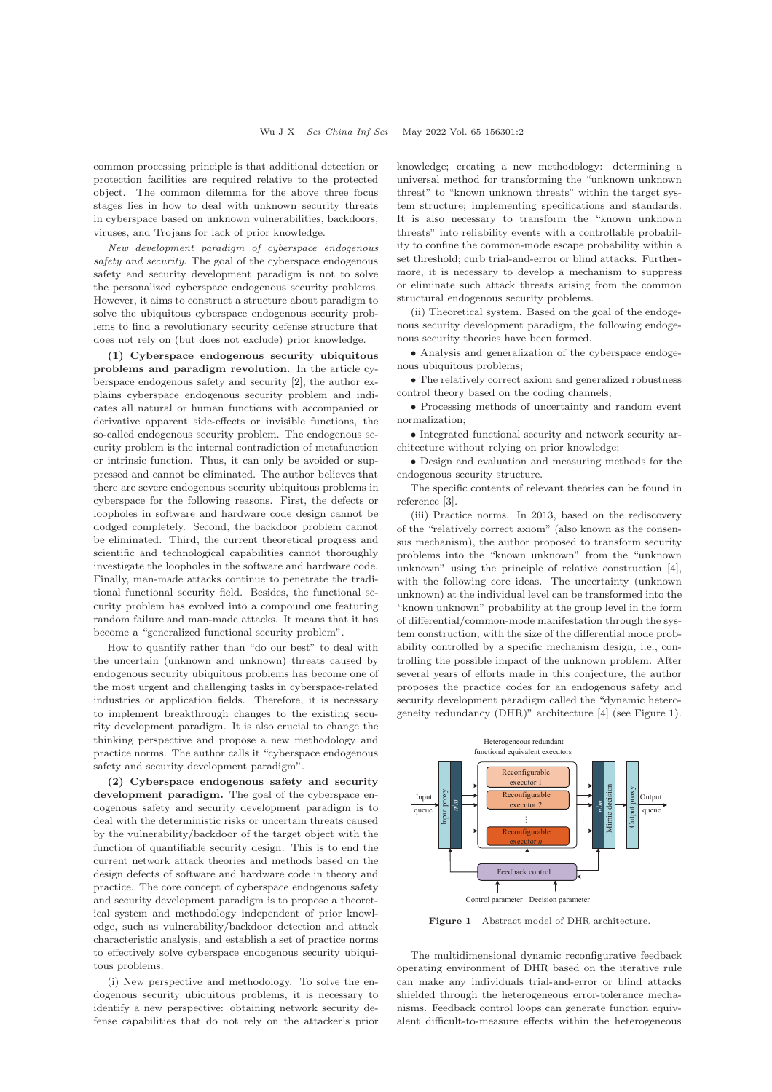common processing principle is that additional detection or protection facilities are required relative to the protected object. The common dilemma for the above three focus stages lies in how to deal with unknown security threats in cyberspace based on unknown vulnerabilities, backdoors, viruses, and Trojans for lack of prior knowledge.

New development paradigm of cyberspace endogenous safety and security. The goal of the cyberspace endogenous safety and security development paradigm is not to solve the personalized cyberspace endogenous security problems. However, it aims to construct a structure about paradigm to solve the ubiquitous cyberspace endogenous security problems to find a revolutionary security defense structure that does not rely on (but does not exclude) prior knowledge.

(1) Cyberspace endogenous security ubiquitous problems and paradigm revolution. In the article cyberspace endogenous safety and security [\[2\]](#page-2-2), the author explains cyberspace endogenous security problem and indicates all natural or human functions with accompanied or derivative apparent side-effects or invisible functions, the so-called endogenous security problem. The endogenous security problem is the internal contradiction of metafunction or intrinsic function. Thus, it can only be avoided or suppressed and cannot be eliminated. The author believes that there are severe endogenous security ubiquitous problems in cyberspace for the following reasons. First, the defects or loopholes in software and hardware code design cannot be dodged completely. Second, the backdoor problem cannot be eliminated. Third, the current theoretical progress and scientific and technological capabilities cannot thoroughly investigate the loopholes in the software and hardware code. Finally, man-made attacks continue to penetrate the traditional functional security field. Besides, the functional security problem has evolved into a compound one featuring random failure and man-made attacks. It means that it has become a "generalized functional security problem".

How to quantify rather than "do our best" to deal with the uncertain (unknown and unknown) threats caused by endogenous security ubiquitous problems has become one of the most urgent and challenging tasks in cyberspace-related industries or application fields. Therefore, it is necessary to implement breakthrough changes to the existing security development paradigm. It is also crucial to change the thinking perspective and propose a new methodology and practice norms. The author calls it "cyberspace endogenous safety and security development paradigm".

(2) Cyberspace endogenous safety and security development paradigm. The goal of the cyberspace endogenous safety and security development paradigm is to deal with the deterministic risks or uncertain threats caused by the vulnerability/backdoor of the target object with the function of quantifiable security design. This is to end the current network attack theories and methods based on the design defects of software and hardware code in theory and practice. The core concept of cyberspace endogenous safety and security development paradigm is to propose a theoretical system and methodology independent of prior knowledge, such as vulnerability/backdoor detection and attack characteristic analysis, and establish a set of practice norms to effectively solve cyberspace endogenous security ubiquitous problems.

(i) New perspective and methodology. To solve the endogenous security ubiquitous problems, it is necessary to identify a new perspective: obtaining network security defense capabilities that do not rely on the attacker's prior

knowledge; creating a new methodology: determining a universal method for transforming the "unknown unknown threat" to "known unknown threats" within the target system structure; implementing specifications and standards. It is also necessary to transform the "known unknown threats" into reliability events with a controllable probability to confine the common-mode escape probability within a set threshold; curb trial-and-error or blind attacks. Furthermore, it is necessary to develop a mechanism to suppress or eliminate such attack threats arising from the common structural endogenous security problems.

(ii) Theoretical system. Based on the goal of the endogenous security development paradigm, the following endogenous security theories have been formed.

• Analysis and generalization of the cyberspace endogenous ubiquitous problems;

• The relatively correct axiom and generalized robustness control theory based on the coding channels;

• Processing methods of uncertainty and random event normalization;

• Integrated functional security and network security architecture without relying on prior knowledge;

• Design and evaluation and measuring methods for the endogenous security structure.

The specific contents of relevant theories can be found in reference [\[3\]](#page-2-3).

(iii) Practice norms. In 2013, based on the rediscovery of the "relatively correct axiom" (also known as the consensus mechanism), the author proposed to transform security problems into the "known unknown" from the "unknown unknown" using the principle of relative construction [\[4\]](#page-2-4), with the following core ideas. The uncertainty (unknown unknown) at the individual level can be transformed into the "known unknown" probability at the group level in the form of differential/common-mode manifestation through the system construction, with the size of the differential mode probability controlled by a specific mechanism design, i.e., controlling the possible impact of the unknown problem. After several years of efforts made in this conjecture, the author proposes the practice codes for an endogenous safety and security development paradigm called the "dynamic heterogeneity redundancy (DHR)" architecture [\[4\]](#page-2-4) (see Figure 1).



Figure 1 Abstract model of DHR architecture.

The multidimensional dynamic reconfigurative feedback operating environment of DHR based on the iterative rule can make any individuals trial-and-error or blind attacks shielded through the heterogeneous error-tolerance mechanisms. Feedback control loops can generate function equivalent difficult-to-measure effects within the heterogeneous